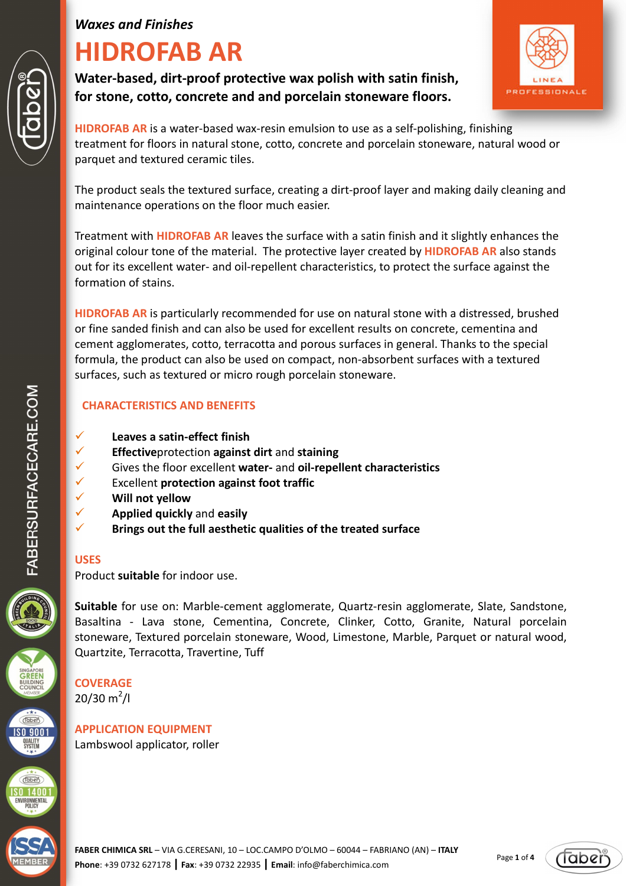# **HIDROFAB AR**

**Water-based, dirt-proof protective wax polish with satin finish, for stone, cotto, concrete and and porcelain stoneware floors.** 



**HIDROFAB AR** is a water-based wax-resin emulsion to use as a self-polishing, finishing treatment for floors in natural stone, cotto, concrete and porcelain stoneware, natural wood or parquet and textured ceramic tiles.

The product seals the textured surface, creating a dirt-proof layer and making daily cleaning and maintenance operations on the floor much easier.

Treatment with **HIDROFAB AR** leaves the surface with a satin finish and it slightly enhances the original colour tone of the material. The protective layer created by **HIDROFAB AR** also stands out for its excellent water- and oil-repellent characteristics, to protect the surface against the formation of stains.

**HIDROFAB AR** is particularly recommended for use on natural stone with a distressed, brushed or fine sanded finish and can also be used for excellent results on concrete, cementina and cement agglomerates, cotto, terracotta and porous surfaces in general. Thanks to the special formula, the product can also be used on compact, non-absorbent surfaces with a textured surfaces, such as textured or micro rough porcelain stoneware.

# **CHARACTERISTICS AND BENEFITS**

- **Leaves a satin-effect finish**
- **Effective**protection **against dirt** and **staining**
- Gives the floor excellent **water-** and **oil-repellent characteristics**
- Excellent **protection against foot traffic**
- **Will not yellow**
- **Applied quickly** and **easily**
- **K** Brings out the full aesthetic qualities of the treated surface

# **USES**

Product **suitable** for indoor use.

**Suitable** for use on: Marble-cement agglomerate, Quartz-resin agglomerate, Slate, Sandstone, Basaltina - Lava stone, Cementina, Concrete, Clinker, Cotto, Granite, Natural porcelain stoneware, Textured porcelain stoneware, Wood, Limestone, Marble, Parquet or natural wood, Quartzite, Terracotta, Travertine, Tuff

**COVERAGE**   $20/30 \text{ m}^2$ /l

**APPLICATION EQUIPMENT**  Lambswool applicator, roller

**FABER CHIMICA SRL** – VIA G.CERESANI, 10 – LOC.CAMPO D'OLMO – 60044 – FABRIANO (AN) – **ITALY Phone**: +39 0732 627178 **| Fax**: +39 0732 22935 **| Email**: info@faberchimica.com











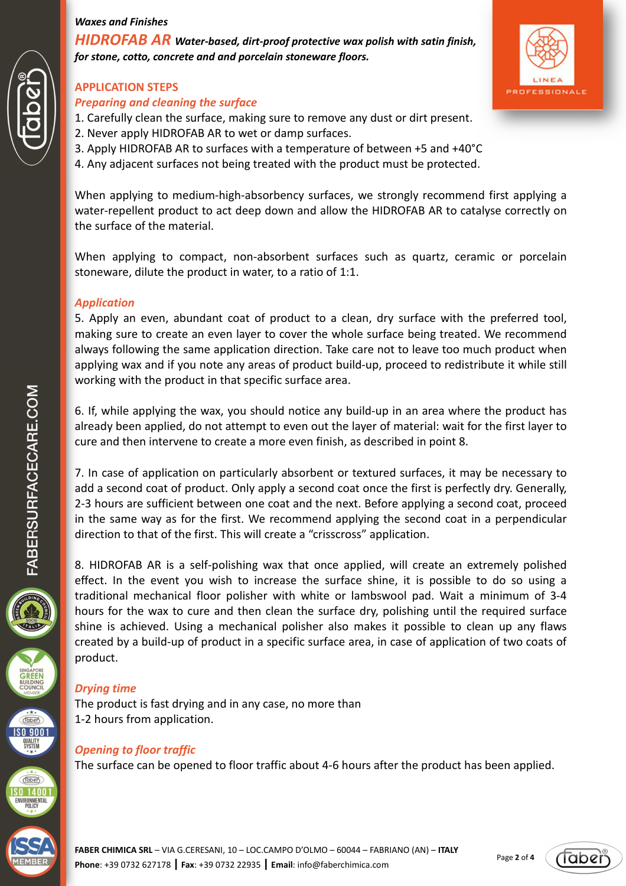*HIDROFAB AR Water-based, dirt-proof protective wax polish with satin finish, for stone, cotto, concrete and and porcelain stoneware floors.* 

# **APPLICATION STEPS**

# *Preparing and cleaning the surface*

- 1. Carefully clean the surface, making sure to remove any dust or dirt present.
- 2. Never apply HIDROFAB AR to wet or damp surfaces.
- 3. Apply HIDROFAB AR to surfaces with a temperature of between +5 and +40°C
- 4. Any adjacent surfaces not being treated with the product must be protected.

When applying to medium-high-absorbency surfaces, we strongly recommend first applying a water-repellent product to act deep down and allow the HIDROFAB AR to catalyse correctly on the surface of the material.

When applying to compact, non-absorbent surfaces such as quartz, ceramic or porcelain stoneware, dilute the product in water, to a ratio of 1:1.

# *Application*

5. Apply an even, abundant coat of product to a clean, dry surface with the preferred tool, making sure to create an even layer to cover the whole surface being treated. We recommend always following the same application direction. Take care not to leave too much product when applying wax and if you note any areas of product build-up, proceed to redistribute it while still working with the product in that specific surface area.

6. If, while applying the wax, you should notice any build-up in an area where the product has already been applied, do not attempt to even out the layer of material: wait for the first layer to cure and then intervene to create a more even finish, as described in point 8.

7. In case of application on particularly absorbent or textured surfaces, it may be necessary to add a second coat of product. Only apply a second coat once the first is perfectly dry. Generally, 2-3 hours are sufficient between one coat and the next. Before applying a second coat, proceed in the same way as for the first. We recommend applying the second coat in a perpendicular direction to that of the first. This will create a "crisscross" application.

8. HIDROFAB AR is a self-polishing wax that once applied, will create an extremely polished effect. In the event you wish to increase the surface shine, it is possible to do so using a traditional mechanical floor polisher with white or lambswool pad. Wait a minimum of 3-4 hours for the wax to cure and then clean the surface dry, polishing until the required surface shine is achieved. Using a mechanical polisher also makes it possible to clean up any flaws created by a build-up of product in a specific surface area, in case of application of two coats of product.

# *Drying time*

The product is fast drying and in any case, no more than 1-2 hours from application.

# *Opening to floor traffic*

The surface can be opened to floor traffic about 4-6 hours after the product has been applied.







**QUALITY**<br>SYSTEM



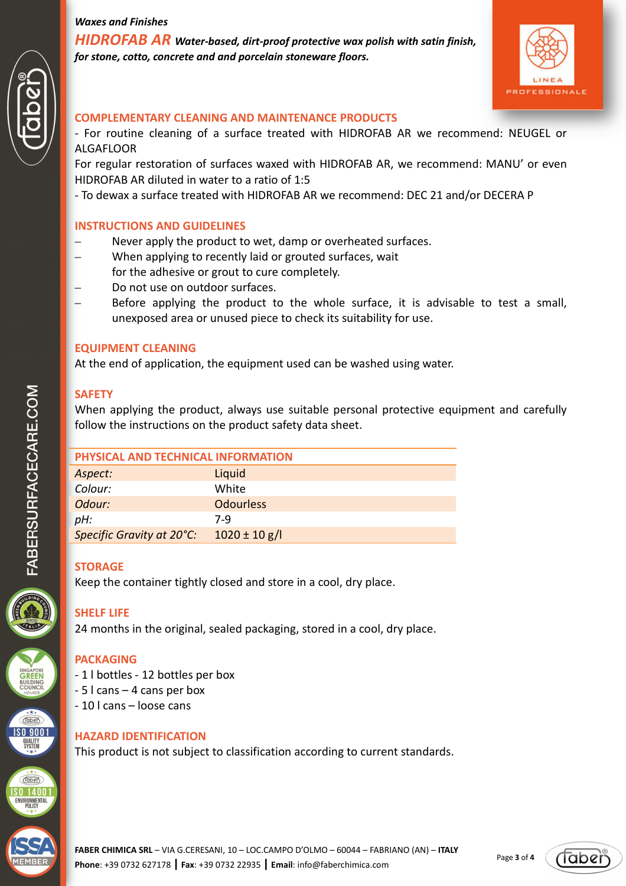*HIDROFAB AR Water-based, dirt-proof protective wax polish with satin finish, for stone, cotto, concrete and and porcelain stoneware floors.* 



#### **COMPLEMENTARY CLEANING AND MAINTENANCE PRODUCTS**

- For routine cleaning of a surface treated with HIDROFAB AR we recommend: NEUGEL or ALGAFLOOR

For regular restoration of surfaces waxed with HIDROFAB AR, we recommend: MANU' or even HIDROFAB AR diluted in water to a ratio of 1:5

- To dewax a surface treated with HIDROFAB AR we recommend: DEC 21 and/or DECERA P

#### **INSTRUCTIONS AND GUIDELINES**

- Never apply the product to wet, damp or overheated surfaces.
- When applying to recently laid or grouted surfaces, wait for the adhesive or grout to cure completely.
- Do not use on outdoor surfaces.
- Before applying the product to the whole surface, it is advisable to test a small, unexposed area or unused piece to check its suitability for use.

#### **EQUIPMENT CLEANING**

At the end of application, the equipment used can be washed using water.

#### **SAFETY**

When applying the product, always use suitable personal protective equipment and carefully follow the instructions on the product safety data sheet.

| PHYSICAL AND TECHNICAL INFORMATION |                   |
|------------------------------------|-------------------|
| Aspect:                            | Liquid            |
| Colour:                            | White             |
| Odour:                             | <b>Odourless</b>  |
| pH:                                | 7-9               |
| Specific Gravity at 20°C:          | $1020 \pm 10$ g/l |

#### **STORAGE**

Keep the container tightly closed and store in a cool, dry place.

# **SHELF LIFE**

24 months in the original, sealed packaging, stored in a cool, dry place.

# **PACKAGING**

- 1 l bottles 12 bottles per box
- 5 l cans 4 cans per box
- 10 l cans loose cans

#### **HAZARD IDENTIFICATION**

This product is not subject to classification according to current standards.







 $\widehat{\text{Table 1}}$ **SO 9001 QUALITY**<br>SYSTEM

*Taben*  $\overline{S0}$  1400 ENVIRONMENTAL